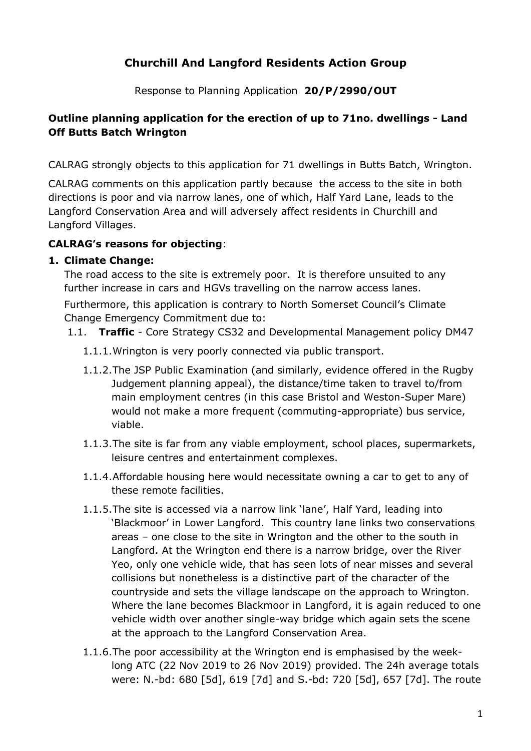# **Churchill And Langford Residents Action Group**

Response to Planning Application **20/P/2990/OUT**

# **Outline planning application for the erection of up to 71no. dwellings - Land Off Butts Batch Wrington**

CALRAG strongly objects to this application for 71 dwellings in Butts Batch, Wrington.

CALRAG comments on this application partly because the access to the site in both directions is poor and via narrow lanes, one of which, Half Yard Lane, leads to the Langford Conservation Area and will adversely affect residents in Churchill and Langford Villages.

### **CALRAG's reasons for objecting**:

#### **1. Climate Change:**

The road access to the site is extremely poor. It is therefore unsuited to any further increase in cars and HGVs travelling on the narrow access lanes.

Furthermore, this application is contrary to North Somerset Council's Climate Change Emergency Commitment due to:

- 1.1. **Traffic** Core Strategy CS32 and Developmental Management policy DM47
	- 1.1.1.Wrington is very poorly connected via public transport.
	- 1.1.2.The JSP Public Examination (and similarly, evidence offered in the Rugby Judgement planning appeal), the distance/time taken to travel to/from main employment centres (in this case Bristol and Weston-Super Mare) would not make a more frequent (commuting-appropriate) bus service, viable.
	- 1.1.3.The site is far from any viable employment, school places, supermarkets, leisure centres and entertainment complexes.
	- 1.1.4.Affordable housing here would necessitate owning a car to get to any of these remote facilities.
	- 1.1.5.The site is accessed via a narrow link 'lane', Half Yard, leading into 'Blackmoor' in Lower Langford. This country lane links two conservations areas – one close to the site in Wrington and the other to the south in Langford. At the Wrington end there is a narrow bridge, over the River Yeo, only one vehicle wide, that has seen lots of near misses and several collisions but nonetheless is a distinctive part of the character of the countryside and sets the village landscape on the approach to Wrington. Where the lane becomes Blackmoor in Langford, it is again reduced to one vehicle width over another single-way bridge which again sets the scene at the approach to the Langford Conservation Area.
	- 1.1.6.The poor accessibility at the Wrington end is emphasised by the weeklong ATC (22 Nov 2019 to 26 Nov 2019) provided. The 24h average totals were: N.-bd: 680 [5d], 619 [7d] and S.-bd: 720 [5d], 657 [7d]. The route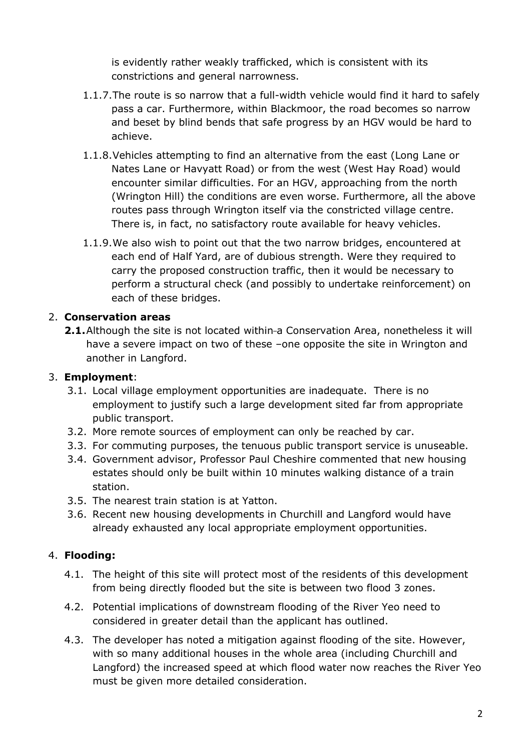is evidently rather weakly trafficked, which is consistent with its constrictions and general narrowness.

- 1.1.7.The route is so narrow that a full-width vehicle would find it hard to safely pass a car. Furthermore, within Blackmoor, the road becomes so narrow and beset by blind bends that safe progress by an HGV would be hard to achieve.
- 1.1.8.Vehicles attempting to find an alternative from the east (Long Lane or Nates Lane or Havyatt Road) or from the west (West Hay Road) would encounter similar difficulties. For an HGV, approaching from the north (Wrington Hill) the conditions are even worse. Furthermore, all the above routes pass through Wrington itself via the constricted village centre. There is, in fact, no satisfactory route available for heavy vehicles.
- 1.1.9.We also wish to point out that the two narrow bridges, encountered at each end of Half Yard, are of dubious strength. Were they required to carry the proposed construction traffic, then it would be necessary to perform a structural check (and possibly to undertake reinforcement) on each of these bridges.

# 2. **Conservation areas**

**2.1.**Although the site is not located within-a Conservation Area, nonetheless it will have a severe impact on two of these -one opposite the site in Wrington and another in Langford.

# 3. **Employment**:

- 3.1. Local village employment opportunities are inadequate. There is no employment to justify such a large development sited far from appropriate public transport.
- 3.2. More remote sources of employment can only be reached by car.
- 3.3. For commuting purposes, the tenuous public transport service is unuseable.
- 3.4. Government advisor, Professor Paul Cheshire commented that new housing estates should only be built within 10 minutes walking distance of a train station.
- 3.5. The nearest train station is at Yatton.
- 3.6. Recent new housing developments in Churchill and Langford would have already exhausted any local appropriate employment opportunities.

# 4. **Flooding:**

- 4.1. The height of this site will protect most of the residents of this development from being directly flooded but the site is between two flood 3 zones.
- 4.2. Potential implications of downstream flooding of the River Yeo need to considered in greater detail than the applicant has outlined.
- 4.3. The developer has noted a mitigation against flooding of the site. However, with so many additional houses in the whole area (including Churchill and Langford) the increased speed at which flood water now reaches the River Yeo must be given more detailed consideration.